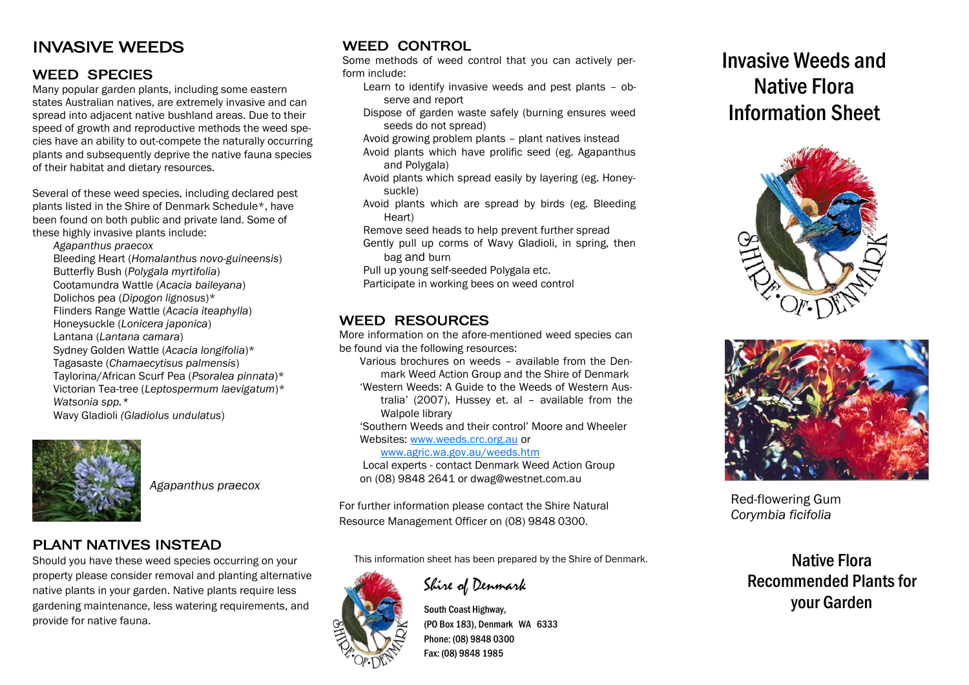## INVASIVE WEEDS

### WEED SPECIES

Many popular garden plants, including some eastern states Australian natives, are extremely invasive and can spread into adjacent native bushland areas. Due to their speed of growth and reproductive methods the weed species have an ability to out-compete the naturally occurring plants and subsequently deprive the native fauna species of their habitat and dietary resources.

Several of these weed species, including declared pest plants listed in the Shire of Denmark Schedule\*, have been found on both public and private land. Some of these highly invasive plants include:

*Agapanthus praecox*

Bleeding Heart (*Homalanthus novo-guineensis*) Butterfly Bush (*Polygala myrtifolia*) Cootamundra Wattle (*Acacia baileyana*) Dolichos pea (*Dipogon lignosus*)\* Flinders Range Wattle (*Acacia iteaphylla*) Honeysuckle (*Lonicera japonica*) Lantana (*Lantana camara*) Sydney Golden Wattle (*Acacia longifolia*)\* Tagasaste (*Chamaecytisus palmensis*) Taylorina/African Scurf Pea (*Psoralea pinnata*)\* Victorian Tea-tree (*Leptospermum laevigatum*)\* *Watsonia spp.\** Wavy Gladioli *(Gladiolus undulatus*)



*Agapanthus praecox*

#### PLANT NATIVES INSTEAD

Should you have these weed species occurring on your property please consider removal and planting alternative native plants in your garden. Native plants require less gardening maintenance, less watering requirements, and provide for native fauna.

## WEED CONTROL

Some methods of weed control that you can actively perform include:

- Learn to identify invasive weeds and pest plants observe and report
- Dispose of garden waste safely (burning ensures weed seeds do not spread)

Avoid growing problem plants – plant natives instead Avoid plants which have prolific seed (eg. Agapanthus and Polygala)

- Avoid plants which spread easily by layering (eg. Honeysuckle)
- Avoid plants which are spread by birds (eg. Bleeding Heart)

Remove seed heads to help prevent further spread

Gently pull up corms of Wavy Gladioli, in spring, then bag and burn

- Pull up young self-seeded Polygala etc.
- Participate in working bees on weed control

## WEED RESOURCES

More information on the afore-mentioned weed species can be found via the following resources:

Various brochures on weeds – available from the Denmark Weed Action Group and the Shire of Denmark 'Western Weeds: A Guide to the Weeds of Western Australia' (2007), Hussey et. al – available from the Walpole library

'Southern Weeds and their control' Moore and Wheeler Websites: [www.weeds.crc.org.au](http://www.weeds.crc.org.au) or

[www.agric.wa.gov.au/weeds.htm](http://www.agric.wa.gov.au/weeds.htm)

Local experts - contact Denmark Weed Action Group on (08) 9848 2641 or dwag@westnet.com.au

For further information please contact the Shire Natural Resource Management Officer on (08) 9848 0300.

This information sheet has been prepared by the Shire of Denmark.

Shire of Denmark

South Coast Highway, (PO Box 183), Denmark WA 6333 Phone: (08) 9848 0300 Fax: (08) 9848 1985

# Invasive Weeds and Native Flora Information Sheet





Red-flowering Gum *Corymbia ficifolia*

Native Flora Recommended Plants for your Garden